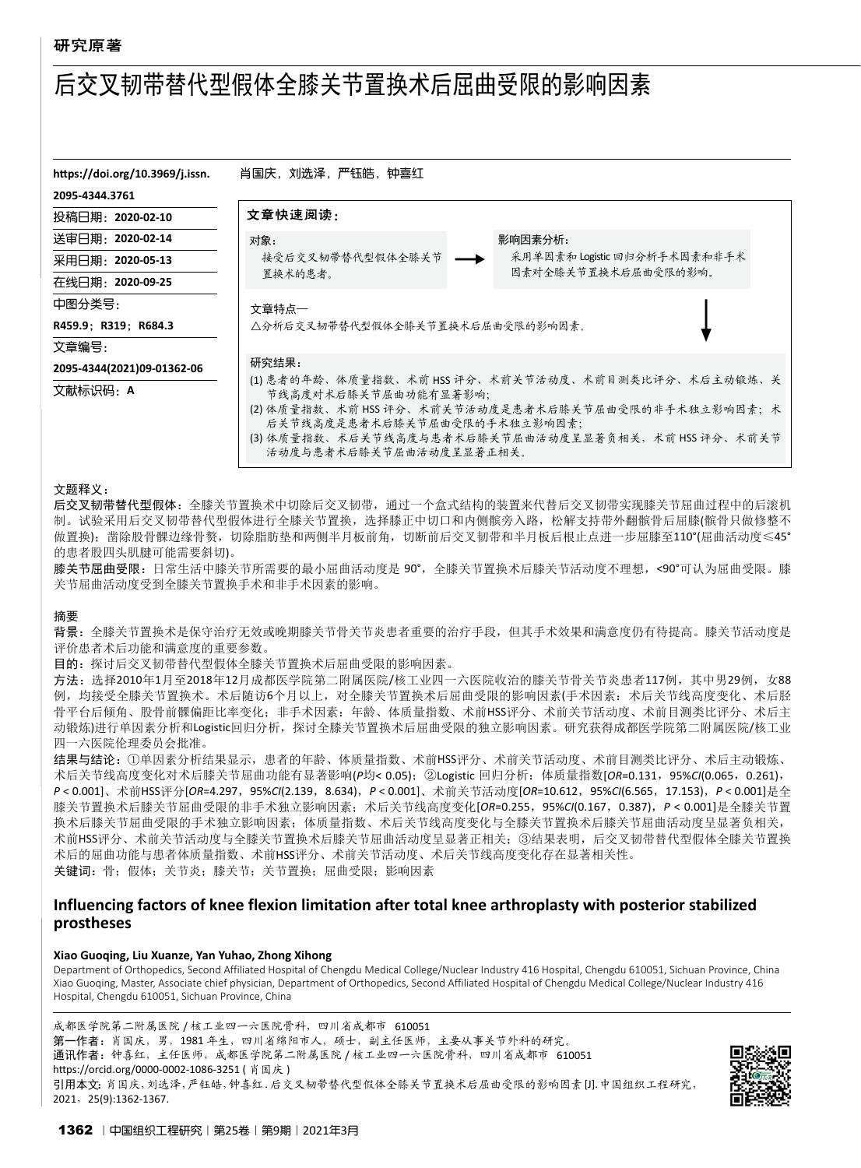# 后交叉韧带替代型假体全膝关节置换术后屈曲受限的影响因素

| https://doi.org/10.3969/j.issn.        | 肖国庆,刘选泽,严钰皓,钟喜红                                                                                                                                                                                                                                               |                              |  |  |  |
|----------------------------------------|---------------------------------------------------------------------------------------------------------------------------------------------------------------------------------------------------------------------------------------------------------------|------------------------------|--|--|--|
| 2095-4344.3761                         |                                                                                                                                                                                                                                                               |                              |  |  |  |
| 投稿日期:2020-02-10                        | 文章快速阅读:                                                                                                                                                                                                                                                       |                              |  |  |  |
| 送审闩期:2020-02-14                        | 对象:                                                                                                                                                                                                                                                           | 影响因素分析:                      |  |  |  |
| 采用闩期:2020-05-13                        | 接受后交叉韧带替代型假体全膝关节                                                                                                                                                                                                                                              | 采用单因素和 Logistic 回归分析手术因素和非手术 |  |  |  |
| 在线日期: 2020-09-25                       | 置换术的患者。                                                                                                                                                                                                                                                       | 因素对全膝关节置换术后屈曲受限的影响。          |  |  |  |
| 中图分类号:                                 | 文章特点一                                                                                                                                                                                                                                                         |                              |  |  |  |
| R459.9: R319: R684.3                   | △分析后交叉韧带替代型假体全膝关节置换术后屈曲受限的影响因素。                                                                                                                                                                                                                               |                              |  |  |  |
| 文章编号:                                  |                                                                                                                                                                                                                                                               |                              |  |  |  |
| 2095-4344(2021)09-01362-06<br>文献标识码: A | 研究结果:<br>(1) 患者的年龄、体质量指数、术前 HSS 评分、术前关节活动度、术前目测类比评分、术后主动锻炼、关<br>节线高度对术后膝关节屈曲功能有显著影响;<br>(2) 体质量指数、术前 HSS 评分、术前关节活动度是患者术后膝关节屈曲受限的非手术独立影响因素;术<br>后关节线高度是患者术后膝关节屈曲受限的手术独立影响因素;<br>(3) 体质量指数、术后关节线高度与患者术后膝关节屈曲活动度呈显著负相关,术前 HSS 评分、术前关节<br>活动度与患者术后膝关节屈曲活动度呈显著正相关。 |                              |  |  |  |

#### 文题释义:

后交叉韧带替代型假体:全膝关节置换术中切除后交叉韧带,通过一个盒式结构的装置来代替后交叉韧带实现膝关节屈曲过程中的后滚机 制。试验采用后交叉韧带替代型假体进行全膝关节置换,选择膝正中切口和内侧髌旁入路,松解支持带外翻髌骨后屈膝(髌骨只做修整不 做置换); 凿除股骨髁边缘骨赘, 切除脂肪垫和两侧半月板前角, 切断前后交叉韧带和半月板后根止点进一步屈膝至110°(屈曲活动度≤45° 的患者股四头肌腱可能需要斜切)。

膝关节屈曲受限: 日常生活中膝关节所需要的最小屈曲活动度是 90°,全膝关节置换术后膝关节活动度不理想,<90°可认为屈曲受限。膝 关节屈曲活动度受到全膝关节置换手术和非手术因素的影响。

#### 摘要

背景:全膝关节置换术是保守治疗无效或晚期膝关节骨关节炎患者重要的治疗手段,但其手术效果和满意度仍有待提高。膝关节活动度是 评价患者术后功能和满意度的重要参数。

目的:探讨后交叉韧带替代型假体全膝关节置换术后屈曲受限的影响因素。

方法:选择2010年1月至2018年12月成都医学院第二附属医院/核工业四一六医院收治的膝关节骨关节炎患者117例,其中男29例,女88 例,均接受全膝关节置换术。术后随访6个月以上,对全膝关节置换术后屈曲受限的影响因素(手术因素:术后关节线高度变化、术后胫 骨平台后倾角、股骨前髁偏距比率变化;非手术因素:年龄、体质量指数、术前HSS评分、术前关节活动度、术前目测类比评分、术后主 动锻炼)进行单因素分析和Logistic回归分析,探讨全膝关节置换术后屈曲受限的独立影响因素。研究获得成都医学院第二附属医院/核工业 四一六医院伦理委员会批准。

结果与结论:①单因素分析结果显示,患者的年龄、体质量指数、术前HSS评分、术前关节活动度、术前目测类比评分、术后主动锻炼、 术后关节线高度变化对术后膝关节屈曲功能有显著影响(*P*均< 0.05);②Logistic 回归分析:体质量指数[*OR*=0.131,95%*CI*(0.065,0.261), *P* < 0.001]、术前HSS评分[*OR*=4.297,95%*CI*(2.139,8.634),*P* < 0.001]、术前关节活动度[*OR*=10.612,95%*CI*(6.565,17.153),*P* < 0.001]是全 膝关节置换术后膝关节屈曲受限的非手术独立影响因素;术后关节线高度变化[*OR*=0.255,95%*CI*(0.167,0.387),*P* < 0.001]是全膝关节置 换术后膝关节屈曲受限的手术独立影响因素;体质量指数、术后关节线高度变化与全膝关节置换术后膝关节屈曲活动度呈显著负相关, 术前HSS评分、术前关节活动度与全膝关节置换术后膝关节屈曲活动度呈显著正相关;③结果表明,后交叉韧带替代型假体全膝关节置换 术后的屈曲功能与患者体质量指数、术前HSS评分、术前关节活动度、术后关节线高度变化存在显著相关性。 关键词: 骨;假体;关节炎;膝关节;关节置换;屈曲受限;影响因素

# **Influencing factors of knee flexion limitation after total knee arthroplasty with posterior stabilized prostheses**

#### **Xiao Guoqing, Liu Xuanze, Yan Yuhao, Zhong Xihong**

Department of Orthopedics, Second Affiliated Hospital of Chengdu Medical College/Nuclear Industry 416 Hospital, Chengdu 610051, Sichuan Province, China Xiao Guoqing, Master, Associate chief physician, Department of Orthopedics, Second Affiliated Hospital of Chengdu Medical College/Nuclear Industry 416 Hospital, Chengdu 610051, Sichuan Province, China

成都医学院第二附属医院 / 核工业四一六医院骨科,四川省成都市 610051 第一作者: 肖国庆, 男, 1981年生, 四川省绵阳市人, 硕士, 副主任医师, 主要从事关节外科的研究。 通讯作者:钟喜红,主任医师,成都医学院第二附属医院 / 核工业四一六医院骨科,四川省成都市 610051 https://orcid.org/0000-0002-1086-3251 ( 肖国庆 ) 引用本文:肖国庆,刘选泽,严钰皓,钟喜红. 后交叉韧带替代型假体全膝关节置换术后屈曲受限的影响因素[J].中国组织工程研究, 2021,25(9):1362-1367.

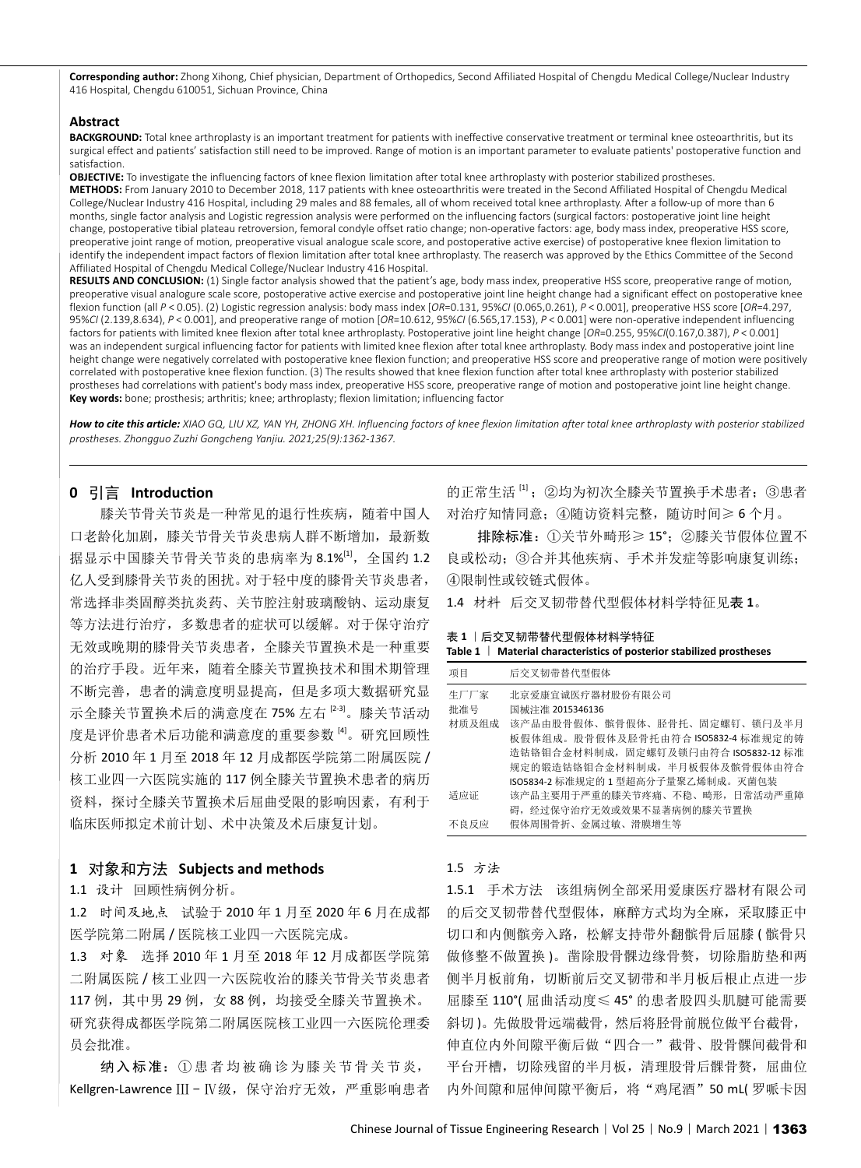**Corresponding author:** Zhong Xihong, Chief physician, Department of Orthopedics, Second Affiliated Hospital of Chengdu Medical College/Nuclear Industry 416 Hospital, Chengdu 610051, Sichuan Province, China

#### **Abstract**

BACKGROUND: Total knee arthroplasty is an important treatment for patients with ineffective conservative treatment or terminal knee osteoarthritis, but its surgical effect and patients' satisfaction still need to be improved. Range of motion is an important parameter to evaluate patients' postoperative function and satisfaction.

**OBJECTIVE:** To investigate the influencing factors of knee flexion limitation after total knee arthroplasty with posterior stabilized prostheses. **METHODS:** From January 2010 to December 2018, 117 patients with knee osteoarthritis were treated in the Second Affiliated Hospital of Chengdu Medical College/Nuclear Industry 416 Hospital, including 29 males and 88 females, all of whom received total knee arthroplasty. After a follow-up of more than 6 months, single factor analysis and Logistic regression analysis were performed on the influencing factors (surgical factors: postoperative joint line height change, postoperative tibial plateau retroversion, femoral condyle offset ratio change; non-operative factors: age, body mass index, preoperative HSS score, preoperative joint range of motion, preoperative visual analogue scale score, and postoperative active exercise) of postoperative knee flexion limitation to identify the independent impact factors of flexion limitation after total knee arthroplasty. The reaserch was approved by the Ethics Committee of the Second Affiliated Hospital of Chengdu Medical College/Nuclear Industry 416 Hospital.

RESULTS AND CONCLUSION: (1) Single factor analysis showed that the patient's age, body mass index, preoperative HSS score, preoperative range of motion, preoperative visual analogure scale score, postoperative active exercise and postoperative joint line height change had a significant effect on postoperative knee flexion function (all *P* < 0.05). (2) Logistic regression analysis: body mass index [*OR*=0.131, 95%*CI* (0.065,0.261), *P* < 0.001], preoperative HSS score [*OR*=4.297, 95%*CI* (2.139,8.634), *P* < 0.001], and preoperative range of motion [*OR*=10.612, 95%*CI* (6.565,17.153), *P* < 0.001] were non-operative independent influencing factors for patients with limited knee flexion after total knee arthroplasty. postoperative joint line height change [*OR*=0.255, 95%*CI*(0.167,0.387), *P* < 0.001] was an independent surgical influencing factor for patients with limited knee flexion after total knee arthroplasty. Body mass index and postoperative joint line height change were negatively correlated with postoperative knee flexion function; and preoperative HSS score and preoperative range of motion were positively correlated with postoperative knee flexion function. (3) The results showed that knee flexion function after total knee arthroplasty with posterior stabilized prostheses had correlations with patient's body mass index, preoperative HSS score, preoperative range of motion and postoperative joint line height change. **Key words:** bone; prosthesis; arthritis; knee; arthroplasty; flexion limitation; influencing factor

*How to cite this article: Xiao Gq, Liu Xz, Yan Yh, Zhong Xh. Influencing factors of knee flexion limitation after total knee arthroplasty with posterior stabilized prostheses. Zhongguo Zuzhi Gongcheng Yanjiu. 2021;25(9):1362-1367.* 

# **0** 引言 **Introduction**

膝关节骨关节炎是一种常见的退行性疾病,随着中国人 口老龄化加剧,膝关节骨关节炎患病人群不断增加,最新数 据显示中国膝关节骨关节炎的患病率为 8.1%[1], 全国约 1.2 良或松动; ③合并其他疾病、手术并发症等影响康复训练; 亿人受到膝骨关节炎的困扰。对于轻中度的膝骨关节炎患者, 常选择非类固醇类抗炎药、关节腔注射玻璃酸钠、运动康复 等方法进行治疗,多数患者的症状可以缓解。对于保守治疗 无效或晚期的膝骨关节炎患者,全膝关节置换术是一种重要 的治疗手段。近年来,随着全膝关节置换技术和围术期管理 不断完善,患者的满意度明显提高,但是多项大数据研究显 示全膝关节置换术后的满意度在 75% 左右 <sup>[2-3]</sup>。膝关节活动 度是评价患者术后功能和满意度的重要参数<sup>[4]</sup>。研究回顾性 分析 2010 年 1 月至 2018 年 12 月成都医学院第二附属医院 / 核工业四一六医院实施的 117 例全膝关节置换术患者的病历 资料,探讨全膝关节置换术后屈曲受限的影响因素,有利于 临床医师拟定术前计划、术中决策及术后康复计划。

# **1** 对象和方法 **Subjects and methods**

1.1 设计 回顾性病例分析。

1.2 时间及地点 试验于 2010 年 1 月至 2020 年 6 月在成都 医学院第二附属 / 医院核工业四一六医院完成。

1.3 对象 选择 2010 年 1 月至 2018 年 12 月成都医学院第 二附属医院 / 核工业四一六医院收治的膝关节骨关节炎患者 117 例, 其中男 29 例, 女 88 例, 均接受全膝关节置换术。 研究获得成都医学院第二附属医院核工业四一六医院伦理委 员会批准。

纳入标准: ①患者均被确诊为膝关节骨关节炎, Kellgren-Lawrence Ⅲ - Ⅳ级, 保守治疗无效, 严重影响患者

的正常生活 [1] ; ②均为初次全膝关节置换手术患者; ③患者 对治疗知情同意;④随访资料完整,随访时间≥ 6 个月。

排除标准:①关节外畸形≥ 15°;②膝关节假体位置不 ④限制性或铰链式假体。

1.4 材料 后交叉韧带替代型假体材料学特征见表 **1**。

表 **1** |后交叉韧带替代型假体材料学特征

| Table $1 \mid$ Material characteristics of posterior stabilized prostheses |  |
|----------------------------------------------------------------------------|--|
|----------------------------------------------------------------------------|--|

| 项目          | 后交叉韧带替代型假体                                                           |
|-------------|----------------------------------------------------------------------|
| 生厂厂家<br>批准号 | 北京爱康宜诚医疗器材股份有限公司<br>国械注准 2015346136                                  |
| 材质及组成       | 该产品由股骨假体、髌骨假体、胫骨托、固定螺钉、锁闩及半月<br>板假体组成。股骨假体及胫骨托由符合 ISO5832-4 标准规定的铸   |
|             | 造钴铬钼合金材料制成, 固定螺钉及锁闩由符合 ISO5832-12 标准<br>规定的锻造钴铬钼合金材料制成,半月板假体及髌骨假体由符合 |
|             | ISO5834-2 标准规定的 1 型超高分子量聚乙烯制成。灭菌包装                                   |
| 适应证         | 该产品主要用于严重的膝关节疼痛、不稳、畸形, 日常活动严重障                                       |
| 不良反应        | 碍, 经过保守治疗无效或效果不显著病例的膝关节置换<br>假体周围骨折、金属过敏、滑膜增生等                       |

#### 1.5 方法

1.5.1 手术方法 该组病例全部采用爱康医疗器材有限公司 的后交叉韧带替代型假体,麻醉方式均为全麻,采取膝正中 切口和内侧髌旁入路, 松解支持带外翻髌骨后屈膝 ( 髌骨只 做修整不做置换 )。凿除股骨髁边缘骨赘,切除脂肪垫和两 侧半月板前角,切断前后交叉韧带和半月板后根止点进一步 屈膝至 110°( 屈曲活动度≤ 45° 的患者股四头肌腱可能需要 斜切 )。先做股骨远端截骨,然后将胫骨前脱位做平台截骨, 伸直位内外间隙平衡后做"四合一"截骨、股骨髁间截骨和 平台开槽,切除残留的半月板,清理股骨后髁骨赘,屈曲位 内外间隙和屈伸间隙平衡后, 将"鸡尾酒"50 mL( 罗哌卡因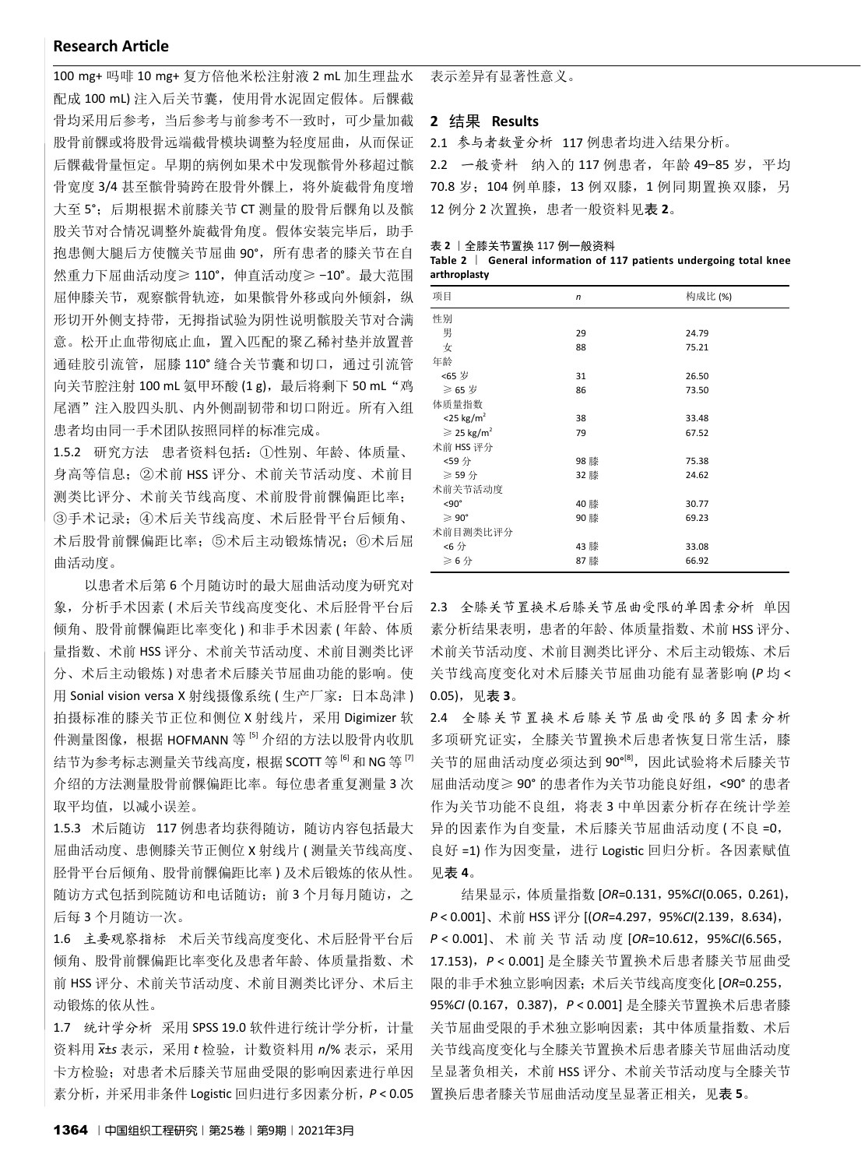## **Research Article**

100 mg+ 吗啡 10 mg+ 复方倍他米松注射液 2 mL 加生理盐水 配成 100 mL) 注入后关节囊,使用骨水泥固定假体。后髁截 骨均采用后参考,当后参考与前参考不一致时,可少量加截 股骨前髁或将股骨远端截骨模块调整为轻度屈曲,从而保证 后髁截骨量恒定。早期的病例如果术中发现髌骨外移超过髌 骨宽度 3/4 甚至髌骨骑跨在股骨外髁上,将外旋截骨角度增 大至 5°;后期根据术前膝关节 CT 测量的股骨后髁角以及髌 股关节对合情况调整外旋截骨角度。假体安装完毕后,助手 抱患侧大腿后方使髋关节屈曲 90°,所有患者的膝关节在自 然重力下屈曲活动度≥ 110°,伸直活动度≥ -10°。最大范围 屈伸膝关节,观察髌骨轨迹,如果髌骨外移或向外倾斜,纵 形切开外侧支持带,无拇指试验为阴性说明髌股关节对合满 意。松开止血带彻底止血,置入匹配的聚乙稀衬垫并放置普 通硅胶引流管, 屈膝 110° 缝合关节囊和切口, 通过引流管 向关节腔注射 100 mL 氨甲环酸 (1 g), 最后将剩下 50 mL "鸡 尾酒"注入股四头肌、内外侧副韧带和切口附近。所有入组 患者均由同一手术团队按照同样的标准完成。

1.5.2 研究方法 患者资料包括:①性别、年龄、体质量、 身高等信息;②术前 HSS 评分、术前关节活动度、术前目 测类比评分、术前关节线高度、术前股骨前髁偏距比率; ③手术记录;④术后关节线高度、术后胫骨平台后倾角、 术后股骨前髁偏距比率;⑤术后主动锻炼情况;⑥术后屈 曲活动度。

以患者术后第 6 个月随访时的最大屈曲活动度为研究对 象, 分析手术因素 ( 术后关节线高度变化、术后胫骨平台后 倾角、股骨前髁偏距比率变化 ) 和非手术因素 ( 年龄、体质 量指数、术前 HSS 评分、术前关节活动度、术前目测类比评 分、术后主动锻炼 ) 对患者术后膝关节屈曲功能的影响。使 用 Sonial vision versa X 射线摄像系统 (生产厂家: 日本岛津) 拍摄标准的膝关节正位和侧位 X 射线片,采用 Digimizer 软 件测量图像, 根据 HOFMANN 等 <sup>51</sup> 介绍的方法以股骨内收肌 结节为参考标志测量关节线高度, 根据 SCOTT 等 <sup>6</sup> 和 NG 等 <sup>[7]</sup> 介绍的方法测量股骨前髁偏距比率。每位患者重复测量 3 次 取平均值, 以减小误差。

1.5.3 术后随访 117 例患者均获得随访, 随访内容包括最大 屈曲活动度、患侧膝关节正侧位 X 射线片 ( 测量关节线高度、 胫骨平台后倾角、股骨前髁偏距比率 ) 及术后锻炼的依从性。 随访方式包括到院随访和电话随访; 前 3 个月每月随访, 之 后每 3 个月随访一次。

1.6 主要观察指标 术后关节线高度变化、术后胫骨平台后 倾角、股骨前髁偏距比率变化及患者年龄、体质量指数、术 前 HSS 评分、术前关节活动度、术前目测类比评分、术后主 动锻炼的依从性。

1.7 统计学分析 采用 SPSS 19.0 软件进行统计学分析, 计量 资料用 *x -* ±*s* 表示,采用 *t* 检验,计数资料用 *n*/% 表示,采用 卡方检验;对患者术后膝关节屈曲受限的影响因素进行单因 素分析,并采用非条件 Logistic 回归进行多因素分析,*P* < 0.05

表示差异有显著性意义。

#### **2** 结果 **Results**

2.1 参与者数量分析 117 例患者均进入结果分析。

2.2 一般资料 纳入的 117 例患者,年龄 49-85 岁,平均 70.8 岁;104 例单膝,13 例双膝,1 例同期置换双膝,另 12 例分 2 次置换,患者一般资料见表 **2**。

表 **2** |全膝关节置换 117 例一般资料

**Table 2** | **General information of 117 patients undergoing total knee arthroplasty**

| 项目                               | $\mathsf{n}$ | 构成比(%) |
|----------------------------------|--------------|--------|
| 性别                               |              |        |
| 男                                | 29           | 24.79  |
| 女                                | 88           | 75.21  |
| 年龄                               |              |        |
| <65 岁                            | 31           | 26.50  |
| ≥ 65 岁                           | 86           | 73.50  |
| 体质量指数                            |              |        |
| $<$ 25 kg/m <sup>2</sup>         | 38           | 33.48  |
| $\geqslant$ 25 kg/m <sup>2</sup> | 79           | 67.52  |
| 术前 HSS 评分                        |              |        |
| <59分                             | 98 膝         | 75.38  |
| ≥ 59 分                           | 32 膝         | 24.62  |
| 术前关节活动度                          |              |        |
| $< 90^\circ$                     | 40 膝         | 30.77  |
| $\geqslant 90^\circ$             | 90 膝         | 69.23  |
| 术前目测类比评分                         |              |        |
| <6分                              | 43 膝         | 33.08  |
| $\geqslant$ 6 分                  | 87膝          | 66.92  |

2.3 全膝关节置换术后膝关节屈曲受限的单因素分析 单因 素分析结果表明,患者的年龄、体质量指数、术前 HSS 评分、 术前关节活动度、术前目测类比评分、术后主动锻炼、术后 关节线高度变化对术后膝关节屈曲功能有显著影响 (*P* 均 < 0.05),见表 **3**。

2.4 全膝关节置换术后膝关节屈曲受限的多因素分析 多项研究证实, 全膝关节置换术后患者恢复日常生活, 膝 关节的屈曲活动度必须达到90°[8],因此试验将术后膝关节 屈曲活动度≥ 90° 的患者作为关节功能良好组,<90° 的患者 作为关节功能不良组,将表3中单因素分析存在统计学差 异的因素作为自变量,术后膝关节屈曲活动度 (不良=0, 良好 =1) 作为因变量, 进行 Logistic 回归分析。各因素赋值 见表 **4**。

结果显示,体质量指数 [*OR*=0.131,95%*CI*(0.065,0.261), *P* < 0.001]、术前 HSS 评分 [(*OR*=4.297,95%*CI*(2.139,8.634), *P* < 0.001]、术前关节活动度 [*OR*=10.612,95%*CI*(6.565, 17.153),*P* < 0.001] 是全膝关节置换术后患者膝关节屈曲受 限的非手术独立影响因素;术后关节线高度变化 [*OR*=0.255, 95%CI (0.167, 0.387),  $P < 0.001$ ] 是全膝关节置换术后患者膝 关节屈曲受限的手术独立影响因素;其中体质量指数、术后 关节线高度变化与全膝关节置换术后患者膝关节屈曲活动度 呈显著负相关,术前 HSS 评分、术前关节活动度与全膝关节 置换后患者膝关节屈曲活动度呈显著正相关,见表 **5**。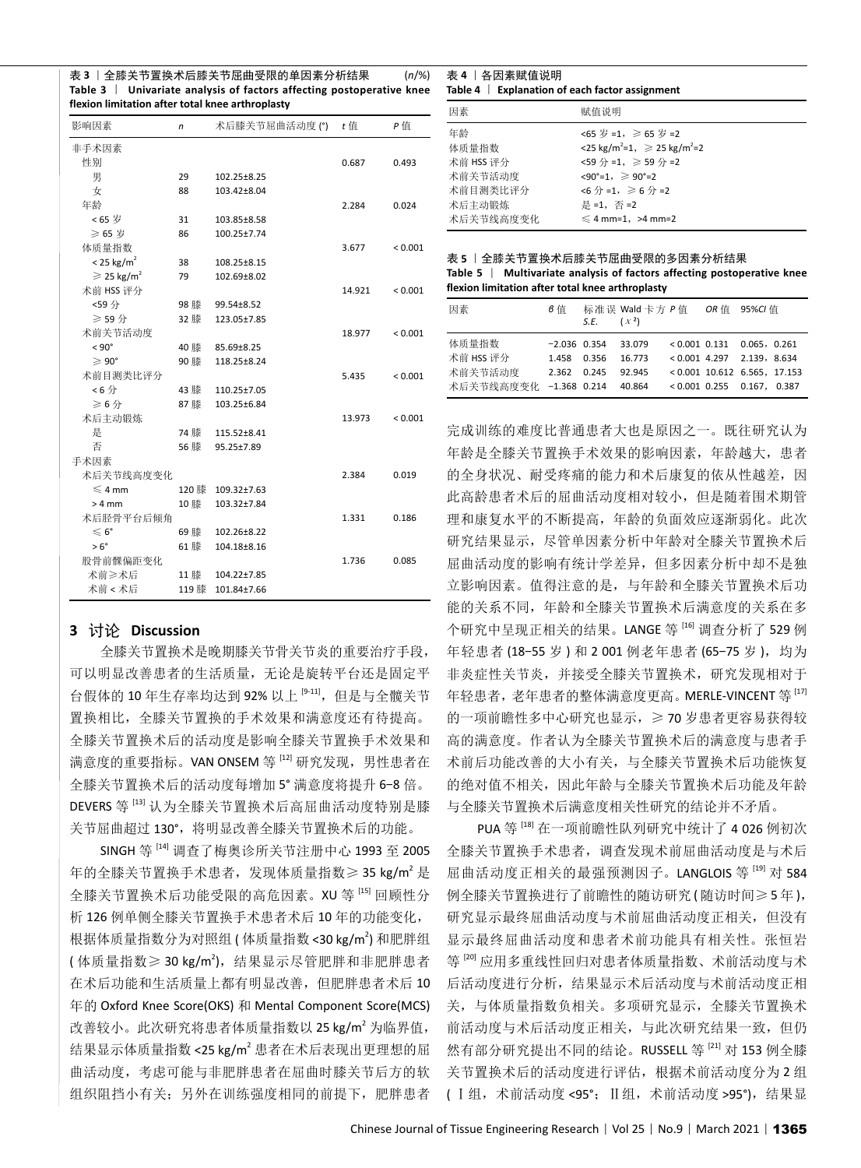表 **3** |全膝关节置换术后膝关节屈曲受限的单因素分析结果 (*n*/%) **Table 3** | **Univariate analysis of factors affecting postoperative knee flexion limitation after total knee arthroplasty**

| 影响因素                             | 术后膝关节屈曲活动度(°)<br>n |             |        | P值      |  |
|----------------------------------|--------------------|-------------|--------|---------|--|
| 非手术因素                            |                    |             |        |         |  |
| 性别                               |                    |             | 0.687  | 0.493   |  |
| 男                                | 29                 | 102.25±8.25 |        |         |  |
| 女                                | 88                 | 103.42±8.04 |        |         |  |
| 年龄                               |                    |             | 2.284  | 0.024   |  |
| <65 岁                            | 31                 | 103.85±8.58 |        |         |  |
| ≥ 65 岁                           | 86                 | 100.25±7.74 |        |         |  |
| 体质量指数                            |                    |             | 3.677  | < 0.001 |  |
| $< 25$ kg/m <sup>2</sup>         | 38                 | 108.25±8.15 |        |         |  |
| $\geqslant$ 25 kg/m <sup>2</sup> | 79                 | 102.69±8.02 |        |         |  |
| 术前 HSS 评分                        |                    |             | 14.921 | < 0.001 |  |
| <59分                             | 98 膝               | 99.54±8.52  |        |         |  |
| ≥ 59 分                           | 32 膝               | 123.05±7.85 |        |         |  |
| 术前关节活动度                          |                    |             | 18.977 | < 0.001 |  |
| $< 90^{\circ}$                   | 40 膝               | 85.69±8.25  |        |         |  |
| $\geqslant 90^{\circ}$           | 90 膝               | 118.25±8.24 |        |         |  |
| 术前目测类比评分                         |                    |             | 5.435  | < 0.001 |  |
| <6分                              | 43 膝               | 110.25±7.05 |        |         |  |
| ≥6分                              | 87膝                | 103.25±6.84 |        |         |  |
| 术后主动锻炼                           |                    |             | 13.973 | < 0.001 |  |
| 是                                | 74 膝               | 115.52±8.41 |        |         |  |
| 否                                | 56 膝               | 95.25±7.89  |        |         |  |
| 手术因素                             |                    |             |        |         |  |
| 术后关节线高度变化                        |                    |             | 2.384  | 0.019   |  |
| $\leqslant$ 4 mm                 | 120 膝              | 109.32±7.63 |        |         |  |
| $>4$ mm                          | 10 膝               | 103.32±7.84 |        |         |  |
| 术后胫骨平台后倾角                        |                    |             | 1.331  | 0.186   |  |
| $\leqslant 6^{\circ}$            | 69 膝               | 102.26±8.22 |        |         |  |
| $> 6^{\circ}$                    | 61 膝               | 104.18±8.16 |        |         |  |
| 股骨前髁偏距变化                         |                    |             | 1.736  | 0.085   |  |
| 术前≥术后                            | 11 膝               | 104.22±7.85 |        |         |  |
| 术前 < 术后                          | 119 膝              | 101.84±7.66 |        |         |  |

### **3** 讨论 **Discussion**

全膝关节置换术是晚期膝关节骨关节炎的重要治疗手段, 可以明显改善患者的生活质量,无论是旋转平台还是固定平 台假体的 10年生存率均达到 92% 以上 [9-11], 但是与全髋关节 置换相比,全膝关节置换的手术效果和满意度还有待提高。 全膝关节置换术后的活动度是影响全膝关节置换手术效果和 满意度的重要指标。VAN ONSEM 等 [12] 研究发现, 男性患者在 全膝关节置换术后的活动度每增加 5° 满意度将提升 6-8 倍。 DEVERS 等<sup>[13]</sup> 认为全膝关节置换术后高屈曲活动度特别是膝 关节屈曲超过 130°, 将明显改善全膝关节置换术后的功能。

SINGH 等 [14] 调查了梅奥诊所关节注册中心 1993 至 2005 年的全膝关节置换手术患者,发现体质量指数≥ 35 kg/m<sup>2</sup> 是 全膝关节置换术后功能受限的高危因素。XU 等 [15] 回顾性分 析 126 例单侧全膝关节置换手术患者术后 10 年的功能变化, 根据体质量指数分为对照组(体质量指数<30 kg/m2)和肥胖组 (体质量指数≥30 kg/m2),结果显示尽管肥胖和非肥胖患者 在术后功能和生活质量上都有明显改善,但肥胖患者术后 10 年的 Oxford Knee Score(OKS) 和 Mental Component Score(MCS) 改善较小。此次研究将患者体质量指数以 25 kg/m<sup>2</sup> 为临界值, 结果显示体质量指数 <25 kg/m2 患者在术后表现出更理想的屈 曲活动度,考虑可能与非肥胖患者在屈曲时膝关节后方的软 组织阻挡小有关;另外在训练强度相同的前提下,肥胖患者

表 **4** |各因素赋值说明 **Table 4** | **Explanation of each factor assignment**

| 因素        | 赋值说明                                                        |
|-----------|-------------------------------------------------------------|
| 年龄        | <65 岁 =1, $\geqslant$ 65 岁 =2                               |
| 体质量指数     | $<$ 25 kg/m <sup>2</sup> =1, $\geq$ 25 kg/m <sup>2</sup> =2 |
| 术前 HSS 评分 | <59 分 =1, ≥ 59 分 =2                                         |
| 术前关节活动度   | $\langle 90^\circ = 1, \rangle \geq 90^\circ = 2$           |
| 术前目测类比评分  | <6 分 =1, ≥ 6 分 =2                                           |
| 术后主动锻炼    | 是 =1, 否 =2                                                  |
| 术后关节线高度变化 | $\leq 4$ mm=1, >4 mm=2                                      |
|           |                                                             |

| 表 5   全膝关节置换术后膝关节屈曲受限的多因素分析结果                                           |
|-------------------------------------------------------------------------|
| Table 5   Multivariate analysis of factors affecting postoperative knee |
| flexion limitation after total knee arthroplasty                        |

| 因素                            | 6 值                              | S.E. $(x^2)$   | 标准误 Wald 卡方 P 值 OR 值       |                 | 95%Cl 值                                                                        |
|-------------------------------|----------------------------------|----------------|----------------------------|-----------------|--------------------------------------------------------------------------------|
| 体质量指数<br>术前 HSS 评分<br>术前关节活动度 | $-2.036$ 0.354<br>1.458<br>2.362 | 0.356<br>0.245 | 33.079<br>16.773<br>92.945 | $< 0.001$ 0.131 | 0.065, 0.261<br>$< 0.001$ 4.297 2.139, 8.634<br>$< 0.001$ 10.612 6.565, 17.153 |
| 术后关节线高度变化                     | $-1.368$ 0.214                   |                | 40.864                     | $< 0.001$ 0.255 | 0.167,<br>0.387                                                                |

完成训练的难度比普通患者大也是原因之一。既往研究认为 年龄是全膝关节置换手术效果的影响因素,年龄越大,患者 的全身状况、耐受疼痛的能力和术后康复的依从性越差,因 此高龄患者术后的屈曲活动度相对较小,但是随着围术期管 理和康复水平的不断提高,年龄的负面效应逐渐弱化。此次 研究结果显示, 尽管单因素分析中年龄对全膝关节置换术后 屈曲活动度的影响有统计学差异,但多因素分析中却不是独 立影响因素。值得注意的是,与年龄和全膝关节置换术后功 能的关系不同,年龄和全膝关节置换术后满意度的关系在多 个研究中呈现正相关的结果。LANGE 等 [16] 调查分析了 529 例 年轻患者(18-55岁)和2001例老年患者(65-75岁),均为 非炎症性关节炎,并接受全膝关节置换术,研究发现相对于 年轻患者,老年患者的整体满意度更高。MERLE-VINCENT 等<sup>[17]</sup> 的一项前瞻性多中心研究也显示,≥ 70 岁患者更容易获得较 高的满意度。作者认为全膝关节置换术后的满意度与患者手 术前后功能改善的大小有关,与全膝关节置换术后功能恢复 的绝对值不相关,因此年龄与全膝关节置换术后功能及年龄 与全膝关节置换术后满意度相关性研究的结论并不矛盾。

PUA 等 [18] 在一项前瞻性队列研究中统计了 4 026 例初次 全膝关节置换手术患者,调查发现术前屈曲活动度是与术后 屈曲活动度正相关的最强预测因子。LANGLOIS 等<sup>[19]</sup> 对 584 例全膝关节置换进行了前瞻性的随访研究 ( 随访时间≥ 5 年 ), 研究显示最终屈曲活动度与术前屈曲活动度正相关,但没有 显示最终屈曲活动度和患者术前功能具有相关性。张恒岩 等 [20] 应用多重线性回归对患者体质量指数、术前活动度与术 后活动度进行分析,结果显示术后活动度与术前活动度正相 关,与体质量指数负相关。多项研究显示,全膝关节置换术 前活动度与术后活动度正相关,与此次研究结果一致,但仍 然有部分研究提出不同的结论。RUSSELL 等<sup>[21]</sup> 对 153 例全膝 关节置换术后的活动度进行评估,根据术前活动度分为 2 组 ( Ⅰ组,术前活动度 <95°;Ⅱ组,术前活动度 >95°),结果显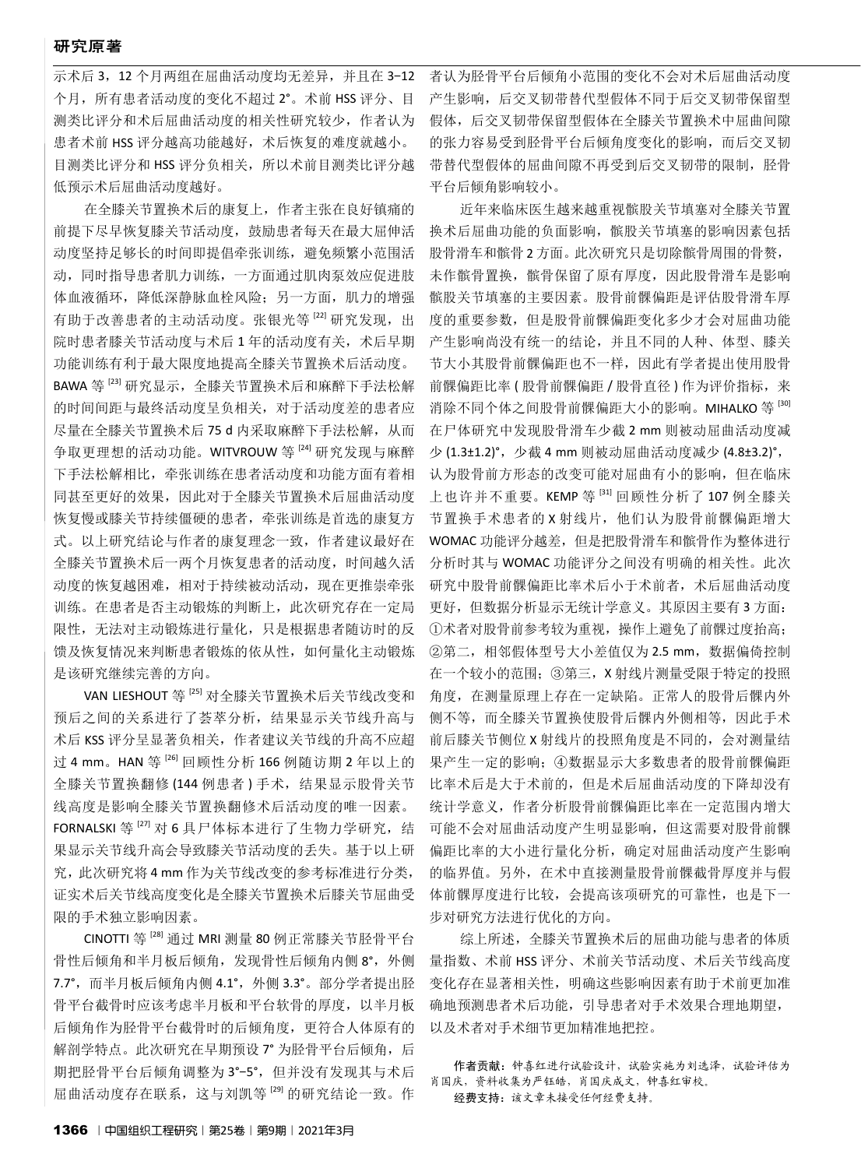## 研究原著

示术后 3,12 个月两组在屈曲活动度均无差异,并且在 3-12 个月,所有患者活动度的变化不超过 2°。术前 HSS 评分、目 测类比评分和术后屈曲活动度的相关性研究较少,作者认为 患者术前 HSS 评分越高功能越好,术后恢复的难度就越小。 目测类比评分和 HSS 评分负相关,所以术前目测类比评分越 低预示术后屈曲活动度越好。

在全膝关节置换术后的康复上,作者主张在良好镇痛的 前提下尽早恢复膝关节活动度,鼓励患者每天在最大屈伸活 动度坚持足够长的时间即提倡牵张训练,避免频繁小范围活 动,同时指导患者肌力训练,一方面通过肌肉泵效应促进肢 体血液循环,降低深静脉血栓风险;另一方面,肌力的增强 有助于改善患者的主动活动度。张银光等<sup>[22]</sup> 研究发现, 出 院时患者膝关节活动度与术后1年的活动度有关,术后早期 功能训练有利于最大限度地提高全膝关节置换术后活动度。 BAWA 等<sup>[23]</sup> 研究显示, 全膝关节置换术后和麻醉下手法松解 的时间间距与最终活动度呈负相关,对于活动度差的患者应

尽量在全膝关节置换术后 75 d 内采取麻醉下手法松解, 从而 争取更理想的活动功能。WITVROUW 等<sup>[24]</sup> 研究发现与麻醉 下手法松解相比,牵张训练在患者活动度和功能方面有着相 同甚至更好的效果,因此对于全膝关节置换术后屈曲活动度 恢复慢或膝关节持续僵硬的患者,牵张训练是首选的康复方 式。以上研究结论与作者的康复理念一致,作者建议最好在 全膝关节置换术后一两个月恢复患者的活动度,时间越久活 动度的恢复越困难,相对于持续被动活动,现在更推崇牵张 训练。在患者是否主动锻炼的判断上,此次研究存在一定局 限性,无法对主动锻炼进行量化,只是根据患者随访时的反 馈及恢复情况来判断患者锻炼的依从性,如何量化主动锻炼 是该研究继续完善的方向。

VAN LIESHOUT 等<sup>[25]</sup> 对全膝关节置换术后关节线改变和 预后之间的关系进行了荟萃分析,结果显示关节线升高与 术后 KSS 评分呈显著负相关,作者建议关节线的升高不应超 过 4 mm。HAN 等<sup>[26]</sup> 回顾性分析 166 例随访期 2 年以上的 全膝关节置换翻修 (144 例患者 ) 手术,结果显示股骨关节 线高度是影响全膝关节置换翻修术后活动度的唯一因素。 FORNALSKI 等<sup>[27]</sup> 对 6 具尸体标本进行了生物力学研究, 结 果显示关节线升高会导致膝关节活动度的丢失。基于以上研 究,此次研究将 4 mm 作为关节线改变的参考标准进行分类, 证实术后关节线高度变化是全膝关节置换术后膝关节屈曲受 限的手术独立影响因素。

CINOTTI 等 [28] 通过 MRI 测量 80 例正常膝关节胫骨平台 骨性后倾角和半月板后倾角,发现骨性后倾角内侧 8°,外侧 7.7°,而半月板后倾角内侧 4.1°,外侧 3.3°。部分学者提出胫 骨平台截骨时应该考虑半月板和平台软骨的厚度,以半月板 后倾角作为胫骨平台截骨时的后倾角度,更符合人体原有的 解剖学特点。此次研究在早期预设 7° 为胫骨平台后倾角, 后 期把胫骨平台后倾角调整为 3°-5°,但并没有发现其与术后 屈曲活动度存在联系,这与刘凯等 [29] 的研究结论一致。作

者认为胫骨平台后倾角小范围的变化不会对术后屈曲活动度 产生影响,后交叉韧带替代型假体不同于后交叉韧带保留型 假体,后交叉韧带保留型假体在全膝关节置换术中屈曲间隙 的张力容易受到胫骨平台后倾角度变化的影响,而后交叉韧 带替代型假体的屈曲间隙不再受到后交叉韧带的限制,胫骨 平台后倾角影响较小。

近年来临床医生越来越重视髌股关节填塞对全膝关节置 换术后屈曲功能的负面影响,髌股关节填塞的影响因素包括 股骨滑车和髌骨 2 方面。此次研究只是切除髌骨周围的骨赘, 未作髌骨置换,髌骨保留了原有厚度,因此股骨滑车是影响 髌股关节填塞的主要因素。股骨前髁偏距是评估股骨滑车厚 度的重要参数,但是股骨前髁偏距变化多少才会对屈曲功能 产生影响尚没有统一的结论,并且不同的人种、体型、膝关 节大小其股骨前髁偏距也不一样,因此有学者提出使用股骨 前髁偏距比率(股骨前髁偏距/股骨直径)作为评价指标,来 消除不同个体之间股骨前髁偏距大小的影响。MIHALKO 等 [30] 在尸体研究中发现股骨滑车少截 2 mm 则被动屈曲活动度减 少 (1.3±1.2)°,少截 4 mm 则被动屈曲活动度减少 (4.8±3.2)°, 认为股骨前方形态的改变可能对屈曲有小的影响,但在临床 上也许并不重要。KEMP 等 [31] 回顾性分析了 107 例全膝关 节置换手术患者的 X 射线片, 他们认为股骨前髁偏距增大 WOMAC 功能评分越差, 但是把股骨滑车和髌骨作为整体进行 分析时其与 WOMAC 功能评分之间没有明确的相关性。此次 研究中股骨前髁偏距比率术后小于术前者,术后屈曲活动度 更好,但数据分析显示无统计学意义。其原因主要有 3 方面: ①术者对股骨前参考较为重视,操作上避免了前髁过度抬高; ②第二,相邻假体型号大小差值仅为 2.5 mm,数据偏倚控制 在一个较小的范围;③第三,X 射线片测量受限于特定的投照 角度,在测量原理上存在一定缺陷。正常人的股骨后髁内外 侧不等,而全膝关节置换使股骨后髁内外侧相等,因此手术 前后膝关节侧位 X 射线片的投照角度是不同的,会对测量结 果产生一定的影响;④数据显示大多数患者的股骨前髁偏距 比率术后是大于术前的,但是术后屈曲活动度的下降却没有 统计学意义,作者分析股骨前髁偏距比率在一定范围内增大 可能不会对屈曲活动度产生明显影响,但这需要对股骨前髁 偏距比率的大小进行量化分析,确定对屈曲活动度产生影响 的临界值。另外,在术中直接测量股骨前髁截骨厚度并与假 体前髁厚度进行比较, 会提高该项研究的可靠性, 也是下一 步对研究方法进行优化的方向。

综上所述,全膝关节置换术后的屈曲功能与患者的体质 量指数、术前 HSS 评分、术前关节活动度、术后关节线高度 变化存在显著相关性,明确这些影响因素有助于术前更加准 确地预测患者术后功能,引导患者对手术效果合理地期望, 以及术者对手术细节更加精准地把控。

作者贡献:钟喜红进行试验设计,试验实施为刘选泽,试验评估为 肖国庆,资料收集为严钰皓,肖国庆成文,钟喜红审校。 经费支持:该文章未接受任何经费支持。